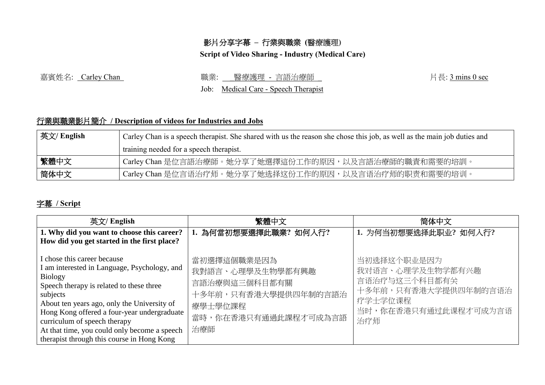# 影片分享字幕 **–** 行業與職業 **(**醫療護理**)**

#### **Script of Video Sharing - Industry (Medical Care)**

## 嘉賓姓名: Carley Chan <br>第8章 本文: Carley Chan <br>第8章: 唐天: <u>Sonins 0 sec</u> 表示: 唐<u>森護理 - 言語治療師</u> 表示 in the control of the control of the control of the control of the control of the control of the control of the control of the control

Job: Medical Care - Speech Therapist

## 行業與職業影片簡介 **/ Description of videos for Industries and Jobs**

| 英文/ English | Carley Chan is a speech therapist. She shared with us the reason she chose this job, as well as the main job duties and |  |  |
|-------------|-------------------------------------------------------------------------------------------------------------------------|--|--|
|             | training needed for a speech therapist.                                                                                 |  |  |
| 繁體中文        | Carley Chan 是位言語治療師。她分享了她選擇這份工作的原因,以及言語治療師的職責和需要的培訓。                                                                    |  |  |
| 简体中文        | Carley Chan 是位言语治疗师。她分享了她选择这份工作的原因,以及言语治疗师的职责和需要的培训。                                                                    |  |  |

## 字幕 **/ Script**

| 英文/ English                                                                                                                                                                                                                                                                                                                                                                | 繁體中文                                                                                                               | 简体中文                                                                                                               |
|----------------------------------------------------------------------------------------------------------------------------------------------------------------------------------------------------------------------------------------------------------------------------------------------------------------------------------------------------------------------------|--------------------------------------------------------------------------------------------------------------------|--------------------------------------------------------------------------------------------------------------------|
| 1. Why did you want to choose this career?<br>How did you get started in the first place?                                                                                                                                                                                                                                                                                  | 1. 為何當初想要選擇此職業? 如何入行?                                                                                              | 1. 为何当初想要选择此职业? 如何入行?                                                                                              |
| I chose this career because<br>I am interested in Language, Psychology, and<br>Biology<br>Speech therapy is related to these three<br>subjects<br>About ten years ago, only the University of<br>Hong Kong offered a four-year undergraduate<br>curriculum of speech therapy<br>At that time, you could only become a speech<br>therapist through this course in Hong Kong | 當初選擇這個職業是因為<br>我對語言、心理學及生物學都有興趣<br>言語治療與這三個科目都有關<br>十多年前,只有香港大學提供四年制的言語治<br>療學士學位課程<br>當時,你在香港只有通過此課程才可成為言語<br>治療師 | 当初选择这个职业是因为<br>我对语言、心理学及生物学都有兴趣<br>言语治疗与这三个科目都有关<br>十多年前,只有香港大学提供四年制的言语治<br>疗学士学位课程<br>当时,你在香港只有通过此课程才可成为言语<br>治疗师 |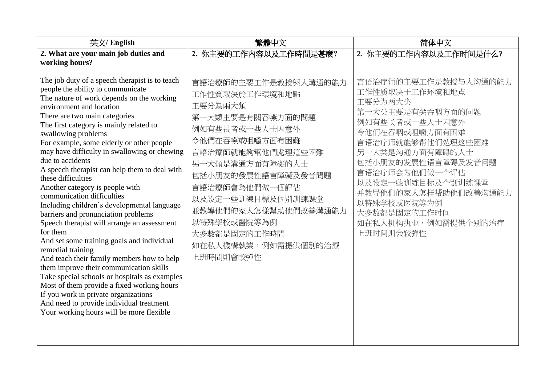| 英文/ English                                                                                                                                                                                                                                                                                                                                                                                                                                                                                                                                                                                                                                                                                                                                                                       | 繁體中文                                                                                                                                                                                                                                                                                                                  | 简体中文                                                                                                                                                                                                                                                                                                                               |
|-----------------------------------------------------------------------------------------------------------------------------------------------------------------------------------------------------------------------------------------------------------------------------------------------------------------------------------------------------------------------------------------------------------------------------------------------------------------------------------------------------------------------------------------------------------------------------------------------------------------------------------------------------------------------------------------------------------------------------------------------------------------------------------|-----------------------------------------------------------------------------------------------------------------------------------------------------------------------------------------------------------------------------------------------------------------------------------------------------------------------|------------------------------------------------------------------------------------------------------------------------------------------------------------------------------------------------------------------------------------------------------------------------------------------------------------------------------------|
| 2. What are your main job duties and<br>working hours?<br>The job duty of a speech therapist is to teach<br>people the ability to communicate<br>The nature of work depends on the working<br>environment and location<br>There are two main categories<br>The first category is mainly related to<br>swallowing problems<br>For example, some elderly or other people<br>may have difficulty in swallowing or chewing<br>due to accidents<br>A speech therapist can help them to deal with<br>these difficulties<br>Another category is people with<br>communication difficulties<br>Including children's developmental language<br>barriers and pronunciation problems<br>Speech therapist will arrange an assessment<br>for them<br>And set some training goals and individual | 2. 你主要的工作内容以及工作時間是甚麼?<br>言語治療師的主要工作是教授與人溝通的能力<br>工作性質取決於工作環境和地點<br>主要分為兩大類<br>第一大類主要是有關吞嚥方面的問題<br>例如有些長者或一些人士因意外<br>令他們在吞嚥或咀嚼方面有困難<br>言語治療師就能夠幫他們處理這些困難<br>另一大類是溝通方面有障礙的人士<br>包括小朋友的發展性語言障礙及發音問題<br>言語治療師會為他們做一個評估<br>以及設定一些訓練目標及個別訓練課堂<br>並教導他們的家人怎樣幫助他們改善溝通能力<br>以特殊學校或醫院等為例<br>大多數都是固定的工作時間<br>如在私人機構執業,例如需提供個別的治療 | 2. 你主要的工作内容以及工作时间是什么?<br>言语治疗师的主要工作是教授与人沟通的能力<br>工作性质取决于工作环境和地点<br>主要分为两大类<br>第一大类主要是有关吞咽方面的问题<br>例如有些长者或一些人士因意外<br>令他们在吞咽或咀嚼方面有困难<br>言语治疗师就能够帮他们处理这些困难<br>另一大类是沟通方面有障碍的人士<br>包括小朋友的发展性语言障碍及发音问题<br>言语治疗师会为他们做一个评估<br>以及设定一些训练目标及个别训练课堂<br>并教导他们的家人怎样帮助他们改善沟通能力<br>以特殊学校或医院等为例<br>大多数都是固定的工作时间<br>如在私人机构执业,例如需提供个别的治疗<br>上班时间则会较弹性 |
| remedial training<br>And teach their family members how to help<br>them improve their communication skills<br>Take special schools or hospitals as examples<br>Most of them provide a fixed working hours<br>If you work in private organizations<br>And need to provide individual treatment<br>Your working hours will be more flexible                                                                                                                                                                                                                                                                                                                                                                                                                                         | 上班時間則會較彈性                                                                                                                                                                                                                                                                                                             |                                                                                                                                                                                                                                                                                                                                    |